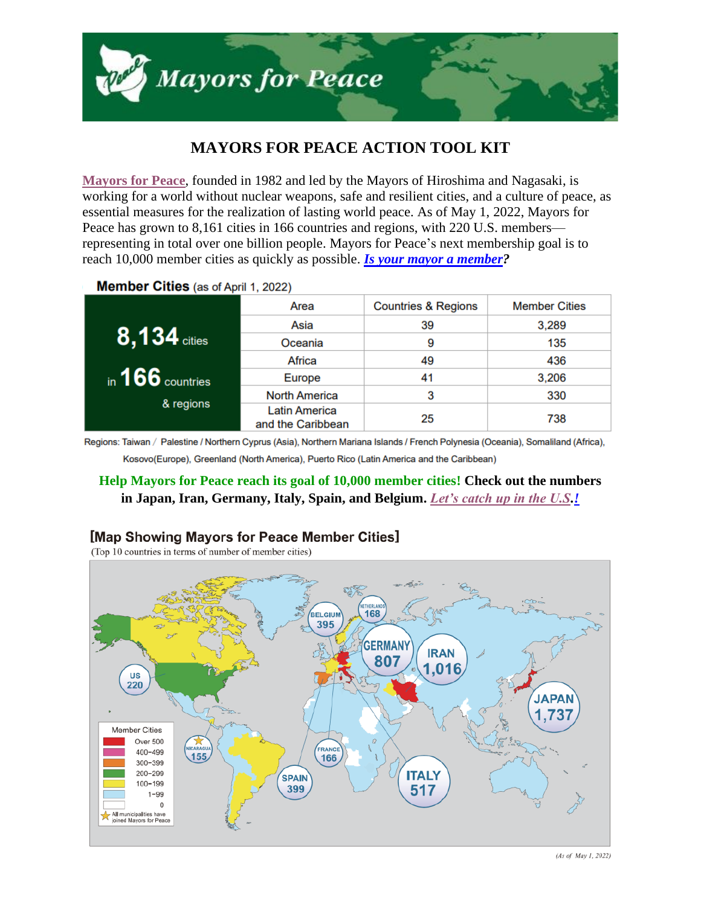

# **MAYORS FOR PEACE ACTION TOOL KIT**

**[Mayors for Peace](http://www.mayorsforpeace.org/en/)**, founded in 1982 and led by the Mayors of Hiroshima and Nagasaki, is working for a world without nuclear weapons, safe and resilient cities, and a culture of peace, as essential measures for the realization of lasting world peace. As of May 1, 2022, Mayors for Peace has grown to 8,161 cities in 166 countries and regions, with 220 U.S. members representing in total over one billion people. Mayors for Peace's next membership goal is to reach 10,000 member cities as quickly as possible. *[Is your mayor a member?](http://www.mayorsforpeace.org/en/members/list-members/north-american/)*

**Member Cities** (as of April 1, 2022)

|                    | Area                                      | <b>Countries &amp; Regions</b> | <b>Member Cities</b> |
|--------------------|-------------------------------------------|--------------------------------|----------------------|
| $8,134$ cities     | Asia                                      | 39                             | 3,289                |
|                    | Oceania                                   | 9                              | 135                  |
|                    | Africa                                    | 49                             | 436                  |
| in $166$ countries | Europe                                    | 41                             | 3,206                |
| & regions          | <b>North America</b>                      | 3                              | 330                  |
|                    | <b>Latin America</b><br>and the Caribbean | 25                             | 738                  |

Regions: Taiwan / Palestine / Northern Cyprus (Asia), Northern Mariana Islands / French Polynesia (Oceania), Somaliland (Africa), Kosovo(Europe), Greenland (North America), Puerto Rico (Latin America and the Caribbean)

# **Help Mayors for Peace reach its goal of 10,000 member cities! Check out the numbers in Japan, Iran, Germany, Italy, Spain, and Belgium.** *[Let's catch up in the U.S.](http://www.mayorsforpeace.org/en/)!*



## [Map Showing Mayors for Peace Member Cities]

(Top 10 countries in terms of number of member cities)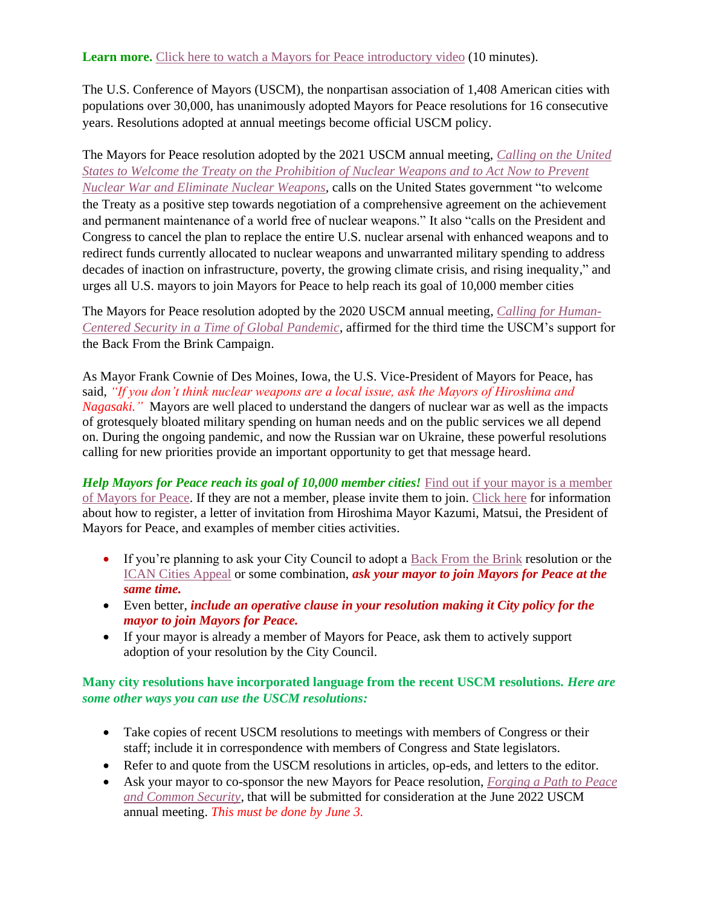The U.S. Conference of Mayors (USCM), the nonpartisan association of 1,408 American cities with populations over 30,000, has unanimously adopted Mayors for Peace resolutions for 16 consecutive years. Resolutions adopted at annual meetings become official USCM policy.

The Mayors for Peace resolution adopted by the 2021 USCM annual meeting, *[Calling on the United](https://www.usmayors.org/the-conference/resolutions/?category=a0F4N00000PTLP3UAP&meeting=89th%20Annual%20Meeting)  [States to Welcome the Treaty on the Prohibition of Nuclear Weapons and to Act Now to Prevent](https://www.usmayors.org/the-conference/resolutions/?category=a0F4N00000PTLP3UAP&meeting=89th%20Annual%20Meeting)  [Nuclear War and Eliminate Nuclear Weapons,](https://www.usmayors.org/the-conference/resolutions/?category=a0F4N00000PTLP3UAP&meeting=89th%20Annual%20Meeting)* calls on the United States government "to welcome the Treaty as a positive step towards negotiation of a comprehensive agreement on the achievement and permanent maintenance of a world free of nuclear weapons." It also "calls on the President and Congress to cancel the plan to replace the entire U.S. nuclear arsenal with enhanced weapons and to redirect funds currently allocated to nuclear weapons and unwarranted military spending to address decades of inaction on infrastructure, poverty, the growing climate crisis, and rising inequality," and urges all U.S. mayors to join Mayors for Peace to help reach its goal of 10,000 member cities

The Mayors for Peace resolution adopted by the 2020 USCM annual meeting, *[Calling for Human-](https://www.usmayors.org/the-conference/resolutions/?category=a0F4N00000PcSSrUAN&meeting=88th%20Annual%20Meeting)[Centered Security in a Time of Global Pandemic](https://www.usmayors.org/the-conference/resolutions/?category=a0F4N00000PcSSrUAN&meeting=88th%20Annual%20Meeting)*, affirmed for the third time the USCM's support for the Back From the Brink Campaign.

As Mayor Frank Cownie of Des Moines, Iowa, the U.S. Vice-President of Mayors for Peace, has said, *"If you don't think nuclear weapons are a local issue, ask the Mayors of Hiroshima and Nagasaki."* Mayors are well placed to understand the dangers of nuclear war as well as the impacts of grotesquely bloated military spending on human needs and on the public services we all depend on. During the ongoing pandemic, and now the Russian war on Ukraine, these powerful resolutions calling for new priorities provide an important opportunity to get that message heard.

*Help Mayors for Peace reach its goal of 10,000 member cities!* Find out if your mayor is a member [of Mayors for Peace.](http://www.mayorsforpeace.org/en/members/list-members/north-american/) If they are not a member, please invite them to join. [Click here](http://www.mayorsforpeace.org/en/) for information about how to register, a letter of invitation from Hiroshima Mayor Kazumi, Matsui, the President of Mayors for Peace, and examples of member cities activities.

- If you're planning to ask your City Council to adopt a **Back From the Brink** resolution or the [ICAN Cities Appeal](https://cities.icanw.org/) or some combination, *ask your mayor to join Mayors for Peace at the same time.*
- Even better, *include an operative clause in your resolution making it City policy for the mayor to join Mayors for Peace.*
- If your mayor is already a member of Mayors for Peace, ask them to actively support adoption of your resolution by the City Council.

**Many city resolutions have incorporated language from the recent USCM resolutions.** *Here are some other ways you can use the USCM resolutions:*

- Take copies of recent USCM resolutions to meetings with members of Congress or their staff; include it in correspondence with members of Congress and State legislators.
- Refer to and quote from the USCM resolutions in articles, op-eds, and letters to the editor.
- Ask your mayor to co-sponsor the new Mayors for Peace resolution, *[Forging a Path](https://legacy.usmayors.org/resolutions/90th_Conference/proposed-review-list-full-print-committee-individual.asp?resid=a0F4N00000QhBsgUAF) to Peace [and Common Security](https://legacy.usmayors.org/resolutions/90th_Conference/proposed-review-list-full-print-committee-individual.asp?resid=a0F4N00000QhBsgUAF)*, that will be submitted for consideration at the June 2022 USCM annual meeting. *This must be done by June 3.*